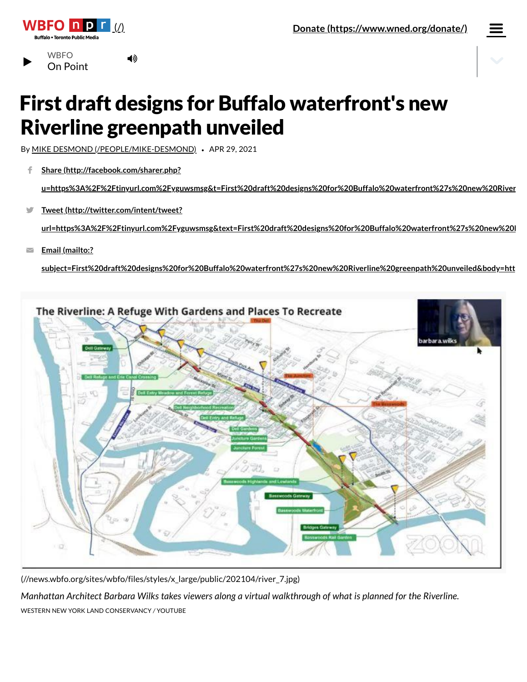

**Buffalo • Toronto Public Med** 



# First draft designs for Buffalo waterfront's new Riverline greenpath unveiled

By MIKE DESMOND [\(/PEOPLE/MIKE-DESMOND\)](https://news.wbfo.org/people/mike-desmond) *•* APR 29, 2021

◀ঠ

**Share (http://facebook.com/sharer.php?** f

**[u=https%3A%2F%2Ftinyurl.com%2Fyguwsmsg&t=First%20draft%20designs%20for%20Buffalo%20waterfront%27s%20new%20River](http://facebook.com/sharer.php?u=https%3A%2F%2Ftinyurl.com%2Fyguwsmsg&t=First%20draft%20designs%20for%20Buffalo%20waterfront%27s%20new%20Riverline%20greenpath%20unveiled)**

**Tweet (http://twitter.com/intent/tweet?** V

**[url=https%3A%2F%2Ftinyurl.com%2Fyguwsmsg&text=First%20draft%20designs%20for%20Buffalo%20waterfront%27s%20new%20R](http://twitter.com/intent/tweet?url=https%3A%2F%2Ftinyurl.com%2Fyguwsmsg&text=First%20draft%20designs%20for%20Buffalo%20waterfront%27s%20new%20Riverline%20greenpath%20unveiled)**

**Email (mailto:?**  $\overline{\phantom{0}}$ 

**[subject=First%20draft%20designs%20for%20Buffalo%20waterfront%27s%20new%20Riverline%20greenpath%20unveiled&body=htt](mailto:?subject=First%20draft%20designs%20for%20Buffalo%20waterfront%27s%20new%20Riverline%20greenpath%20unveiled&body=https%3A%2F%2Ftinyurl.com%2Fyguwsmsg)**



[\(//news.wbfo.org/sites/wbfo/files/styles/x\\_large/public/202104/river\\_7.jpg\)](https://news.wbfo.org/sites/wbfo/files/styles/x_large/public/202104/river_7.jpg)

Manhattan Architect Barbara Wilks takes viewers along a virtual walkthrough of what is planned for the Riverline.

WESTERN NEW YORK LAND CONSERVANCY */* YOUTUBE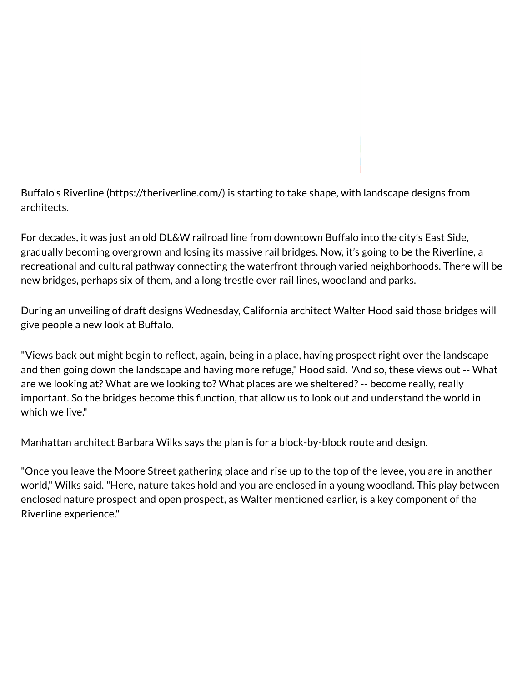Buffalo's Riverline [\(https://theriverline.com/\)](https://theriverline.com/) is starting to take shape, with landscape designs from architects.

For decades, it was just an old DL&W railroad line from downtown Buffalo into the city's East Side, gradually becoming overgrown and losing its massive rail bridges. Now, it's going to be the Riverline, a recreational and cultural pathway connecting the waterfront through varied neighborhoods. There will be new bridges, perhaps six of them, and a long trestle over rail lines, woodland and parks.

During an unveiling of draft designs Wednesday, California architect Walter Hood said those bridges will give people a new look at Buffalo.

"Views back out might begin to reflect, again, being in a place, having prospect right over the landscape and then going down the landscape and having more refuge," Hood said. "And so, these views out -- What are we looking at? What are we looking to? What places are we sheltered? -- become really, really important. So the bridges become this function, that allow us to look out and understand the world in which we live."

Manhattan architect Barbara Wilks says the plan is for a block-by-block route and design.

"Once you leave the Moore Street gathering place and rise up to the top of the levee, you are in another world," Wilks said. "Here, nature takes hold and you are enclosed in a young woodland. This play between enclosed nature prospect and open prospect, as Walter mentioned earlier, is a key component of the Riverline experience."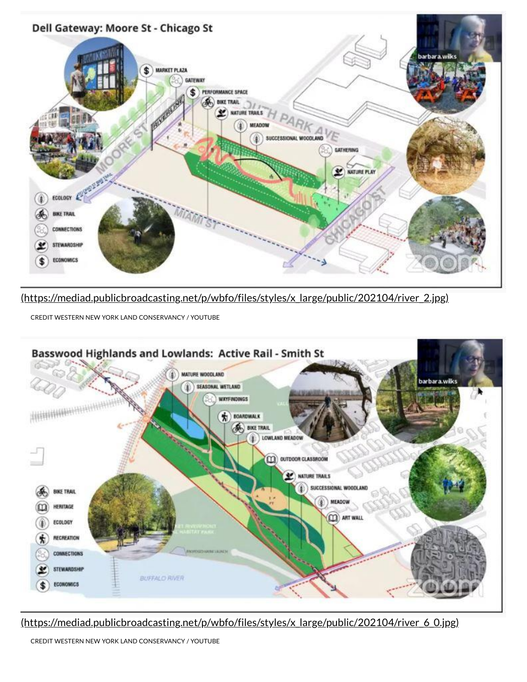

[\(https://mediad.publicbroadcasting.net/p/wbfo/files/styles/x\\_large/public/202104/river\\_2.jpg\)](https://mediad.publicbroadcasting.net/p/wbfo/files/styles/x_large/public/202104/river_2.jpg)

CREDIT WESTERN NEW YORK LAND CONSERVANCY / YOUTUBE



[\(https://mediad.publicbroadcasting.net/p/wbfo/files/styles/x\\_large/public/202104/river\\_6\\_0.jpg\)](https://mediad.publicbroadcasting.net/p/wbfo/files/styles/x_large/public/202104/river_6_0.jpg)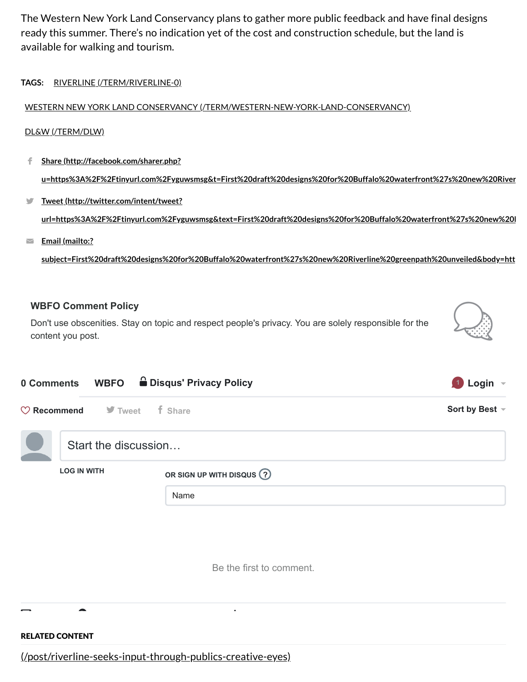The Western New York Land Conservancy plans to gather more public feedback and have final designs ready this summer. There's no indication yet of the cost and construction schedule, but the land is available for walking and tourism.

**TAGS:** RIVERLINE [\(/TERM/RIVERLINE-0\)](https://news.wbfo.org/term/riverline-0)

## WESTERN NEW YORK LAND CONSERVANCY [\(/TERM/WESTERN-NEW-YORK-LAND-CONSERVANCY\)](https://news.wbfo.org/term/western-new-york-land-conservancy)

#### DL&W [\(/TERM/DLW\)](https://news.wbfo.org/term/dlw)

- **Share (http://facebook.com/sharer.php? [u=https%3A%2F%2Ftinyurl.com%2Fyguwsmsg&t=First%20draft%20designs%20for%20Buffalo%20waterfront%27s%20new%20River](http://facebook.com/sharer.php?u=https%3A%2F%2Ftinyurl.com%2Fyguwsmsg&t=First%20draft%20designs%20for%20Buffalo%20waterfront%27s%20new%20Riverline%20greenpath%20unveiled)** f.,
- **Tweet (http://twitter.com/intent/tweet? [url=https%3A%2F%2Ftinyurl.com%2Fyguwsmsg&text=First%20draft%20designs%20for%20Buffalo%20waterfront%27s%20new%20R](http://twitter.com/intent/tweet?url=https%3A%2F%2Ftinyurl.com%2Fyguwsmsg&text=First%20draft%20designs%20for%20Buffalo%20waterfront%27s%20new%20Riverline%20greenpath%20unveiled)**  $\blacksquare$
- **Email (mailto:?**  $\overline{\phantom{0}}$

**[subject=First%20draft%20designs%20for%20Buffalo%20waterfront%27s%20new%20Riverline%20greenpath%20unveiled&body=htt](mailto:?subject=First%20draft%20designs%20for%20Buffalo%20waterfront%27s%20new%20Riverline%20greenpath%20unveiled&body=https%3A%2F%2Ftinyurl.com%2Fyguwsmsg)**

### **WBFO Comment Policy**

Don't use obscenities. Stay on topic and respect people's privacy. You are solely responsible for the content you post.



Be the first to comment.

RELATED CONTENT

[\(/post/riverline-seeks-input-through-publics-creative-eyes\)](https://news.wbfo.org/post/riverline-seeks-input-through-publics-creative-eyes)

 $\blacksquare$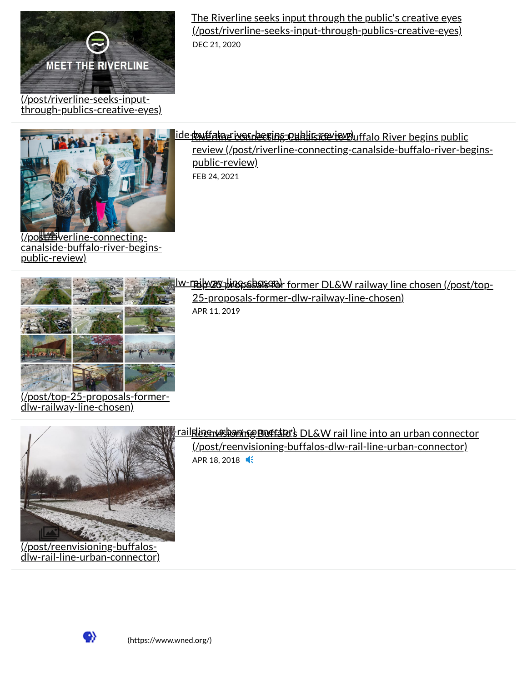

The Riverline seeks input through the public's creative eyes [\(/post/riverline-seeks-input-through-publics-creative-eyes\)](https://news.wbfo.org/post/riverline-seeks-input-through-publics-creative-eyes) DEC 21, 2020



review [\(/post/riverline-connecting-canalside-buffalo-river-begins](https://news.wbfo.org/post/riverline-connecting-canalside-buffalo-river-begins-public-review)public-review) FEB 24, 2021

(/post/riverline-connecting canalside-buffalo-river-beginspublic-review)



The 25 proposals for former DL&W railway line chosen [\(/post/top-25-proposals-former-dlw-railway-line-chosen\)](https://news.wbfo.org/post/top-25-proposals-former-dlw-railway-line-chosen)

[25-proposals-former-dlw-railway-line-chosen\)](https://news.wbfo.org/post/top-25-proposals-former-dlw-railway-line-chosen)

APR 11, 2019

(/post/top-25-proposals-formerdlw-railway-line-chosen)



(/post/reenvisioning-buffalosdlw-rail-line-urban-connector)

# **Environmental and the state of the state of the state of the state of the state of the state of the state of the state of the state of the state of the state of the state of the state of the state of the state of the stat**

[\(/post/reenvisioning-buffalos-dlw-rail-line-urban-connector\)](https://news.wbfo.org/post/reenvisioning-buffalos-dlw-rail-line-urban-connector) APR 18, 2018